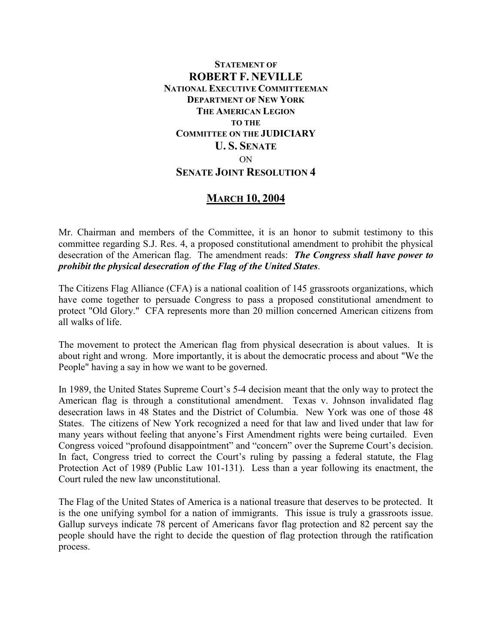## **STATEMENT OF ROBERT F. NEVILLE NATIONAL EXECUTIVE COMMITTEEMAN DEPARTMENT OF NEW YORK THE AMERICAN LEGION TO THE COMMITTEE ON THE JUDICIARY U. S. SENATE** ON **SENATE JOINT RESOLUTION 4**

## **MARCH 10, 2004**

Mr. Chairman and members of the Committee, it is an honor to submit testimony to this committee regarding S.J. Res. 4, a proposed constitutional amendment to prohibit the physical desecration of the American flag. The amendment reads: *The Congress shall have power to prohibit the physical desecration of the Flag of the United States*.

The Citizens Flag Alliance (CFA) is a national coalition of 145 grassroots organizations, which have come together to persuade Congress to pass a proposed constitutional amendment to protect "Old Glory." CFA represents more than 20 million concerned American citizens from all walks of life.

The movement to protect the American flag from physical desecration is about values. It is about right and wrong. More importantly, it is about the democratic process and about "We the People" having a say in how we want to be governed.

In 1989, the United States Supreme Court's 5-4 decision meant that the only way to protect the American flag is through a constitutional amendment. Texas v. Johnson invalidated flag desecration laws in 48 States and the District of Columbia. New York was one of those 48 States. The citizens of New York recognized a need for that law and lived under that law for many years without feeling that anyone's First Amendment rights were being curtailed. Even Congress voiced "profound disappointment" and "concern" over the Supreme Court's decision. In fact, Congress tried to correct the Court's ruling by passing a federal statute, the Flag Protection Act of 1989 (Public Law 101-131). Less than a year following its enactment, the Court ruled the new law unconstitutional.

The Flag of the United States of America is a national treasure that deserves to be protected. It is the one unifying symbol for a nation of immigrants. This issue is truly a grassroots issue. Gallup surveys indicate 78 percent of Americans favor flag protection and 82 percent say the people should have the right to decide the question of flag protection through the ratification process.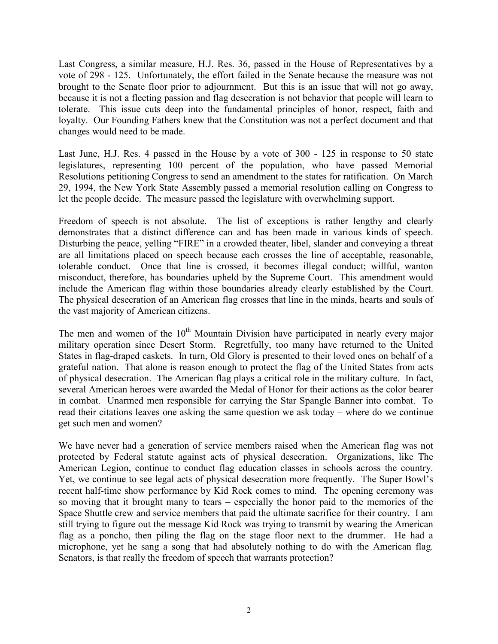Last Congress, a similar measure, H.J. Res. 36, passed in the House of Representatives by a vote of 298 - 125. Unfortunately, the effort failed in the Senate because the measure was not brought to the Senate floor prior to adjournment. But this is an issue that will not go away, because it is not a fleeting passion and flag desecration is not behavior that people will learn to tolerate. This issue cuts deep into the fundamental principles of honor, respect, faith and loyalty. Our Founding Fathers knew that the Constitution was not a perfect document and that changes would need to be made.

Last June, H.J. Res. 4 passed in the House by a vote of 300 - 125 in response to 50 state legislatures, representing 100 percent of the population, who have passed Memorial Resolutions petitioning Congress to send an amendment to the states for ratification. On March 29, 1994, the New York State Assembly passed a memorial resolution calling on Congress to let the people decide. The measure passed the legislature with overwhelming support.

Freedom of speech is not absolute. The list of exceptions is rather lengthy and clearly demonstrates that a distinct difference can and has been made in various kinds of speech. Disturbing the peace, yelling "FIRE" in a crowded theater, libel, slander and conveying a threat are all limitations placed on speech because each crosses the line of acceptable, reasonable, tolerable conduct. Once that line is crossed, it becomes illegal conduct; willful, wanton misconduct, therefore, has boundaries upheld by the Supreme Court. This amendment would include the American flag within those boundaries already clearly established by the Court. The physical desecration of an American flag crosses that line in the minds, hearts and souls of the vast majority of American citizens.

The men and women of the  $10<sup>th</sup>$  Mountain Division have participated in nearly every major military operation since Desert Storm. Regretfully, too many have returned to the United States in flag-draped caskets. In turn, Old Glory is presented to their loved ones on behalf of a grateful nation. That alone is reason enough to protect the flag of the United States from acts of physical desecration. The American flag plays a critical role in the military culture. In fact, several American heroes were awarded the Medal of Honor for their actions as the color bearer in combat. Unarmed men responsible for carrying the Star Spangle Banner into combat. To read their citations leaves one asking the same question we ask today – where do we continue get such men and women?

We have never had a generation of service members raised when the American flag was not protected by Federal statute against acts of physical desecration. Organizations, like The American Legion, continue to conduct flag education classes in schools across the country. Yet, we continue to see legal acts of physical desecration more frequently. The Super Bowl's recent half-time show performance by Kid Rock comes to mind. The opening ceremony was so moving that it brought many to tears – especially the honor paid to the memories of the Space Shuttle crew and service members that paid the ultimate sacrifice for their country. I am still trying to figure out the message Kid Rock was trying to transmit by wearing the American flag as a poncho, then piling the flag on the stage floor next to the drummer. He had a microphone, yet he sang a song that had absolutely nothing to do with the American flag. Senators, is that really the freedom of speech that warrants protection?